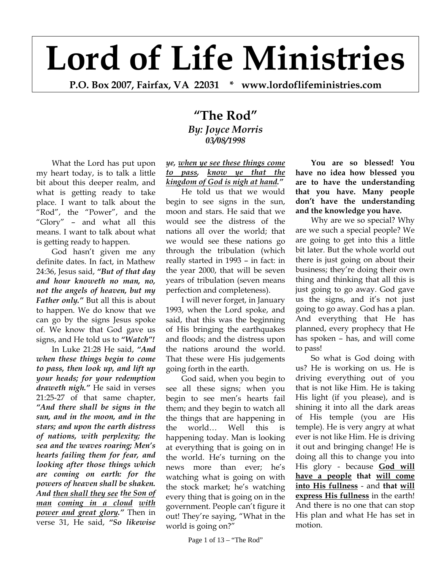## **Lord of Life Ministries**

**P.O. Box 2007, Fairfax, VA 22031 \* www.lordoflifeministries.com**

## **"The Rod"** *By: Joyce Morris 03/08/1998*

What the Lord has put upon my heart today, is to talk a little bit about this deeper realm, and what is getting ready to take place. I want to talk about the "Rod", the "Power", and the "Glory" – and what all this means. I want to talk about what is getting ready to happen.

God hasn't given me any definite dates. In fact, in Mathew 24:36, Jesus said, *"But of that day and hour knoweth no man, no, not the angels of heaven, but my Father only."* But all this is about to happen. We do know that we can go by the signs Jesus spoke of. We know that God gave us signs, and He told us to *"Watch"!*

In Luke 21:28 He said, *"And when these things begin to come to pass, then look up, and lift up your heads; for your redemption draweth nigh."* He said in verses 21:25-27 of that same chapter, *"And there shall be signs in the sun, and in the moon, and in the stars; and upon the earth distress of nations, with perplexity; the sea and the waves roaring; Men's hearts failing them for fear, and looking after those things which are coming on earth: for the powers of heaven shall be shaken. And then shall they see the Son of man coming in a cloud with power and great glory."* Then in verse 31, He said, *"So likewise* 

*ye, when ye see these things come to pass, know ye that the kingdom of God is nigh at hand."*

He told us that we would begin to see signs in the sun, moon and stars. He said that we would see the distress of the nations all over the world; that we would see these nations go through the tribulation (which really started in 1993 – in fact: in the year 2000, that will be seven years of tribulation (seven means perfection and completeness).

I will never forget, in January 1993, when the Lord spoke, and said, that this was the beginning of His bringing the earthquakes and floods; and the distress upon the nations around the world. That these were His judgements going forth in the earth.

God said, when you begin to see all these signs; when you begin to see men's hearts fail them; and they begin to watch all the things that are happening in the world… Well this is happening today. Man is looking at everything that is going on in the world. He's turning on the news more than ever; he's watching what is going on with the stock market; he's watching every thing that is going on in the government. People can't figure it out! They're saying, "What in the world is going on?"

**You are so blessed! You have no idea how blessed you are to have the understanding that you have. Many people** 

> **and the knowledge you have.**  Why are we so special? Why are we such a special people? We are going to get into this a little bit later. But the whole world out there is just going on about their business; they're doing their own thing and thinking that all this is just going to go away. God gave us the signs, and it's not just going to go away. God has a plan. And everything that He has planned, every prophecy that He has spoken – has, and will come to pass!

**don't have the understanding** 

So what is God doing with us? He is working on us. He is driving everything out of you that is not like Him. He is taking His light (if you please), and is shining it into all the dark areas of His temple (you are His temple). He is very angry at what ever is not like Him. He is driving it out and bringing change! He is doing all this to change you into His glory - because **God will have a people that will come into His fullness** - and **that will express His fullness** in the earth! And there is no one that can stop His plan and what He has set in motion.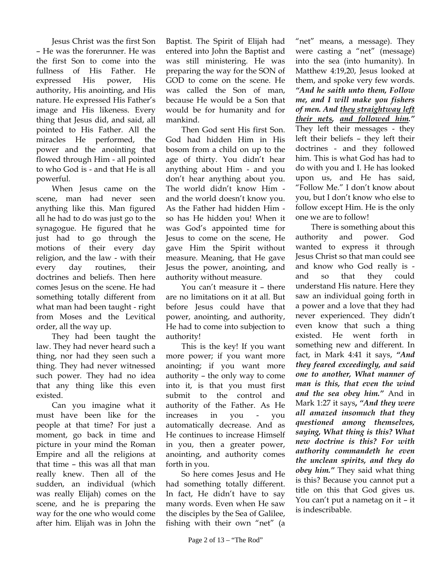Jesus Christ was the first Son – He was the forerunner. He was the first Son to come into the fullness of His Father. He expressed His power, His authority, His anointing, and His nature. He expressed His Father's image and His likeness. Every thing that Jesus did, and said, all pointed to His Father. All the miracles He performed, the power and the anointing that flowed through Him - all pointed to who God is - and that He is all powerful.

When Jesus came on the scene, man had never seen anything like this. Man figured all he had to do was just go to the synagogue. He figured that he just had to go through the motions of their every day religion, and the law - with their every day routines, their doctrines and beliefs. Then here comes Jesus on the scene. He had something totally different from what man had been taught - right from Moses and the Levitical order, all the way up.

They had been taught the law. They had never heard such a thing, nor had they seen such a thing. They had never witnessed such power. They had no idea that any thing like this even existed.

Can you imagine what it must have been like for the people at that time? For just a moment, go back in time and picture in your mind the Roman Empire and all the religions at that time – this was all that man really knew. Then all of the sudden, an individual (which was really Elijah) comes on the scene, and he is preparing the way for the one who would come after him. Elijah was in John the

Baptist. The Spirit of Elijah had entered into John the Baptist and was still ministering. He was preparing the way for the SON of GOD to come on the scene. He was called the Son of man, because He would be a Son that would be for humanity and for mankind.

Then God sent His first Son. God had hidden Him in His bosom from a child on up to the age of thirty. You didn't hear anything about Him - and you don't hear anything about you. The world didn't know Him and the world doesn't know you. As the Father had hidden Him so has He hidden you! When it was God's appointed time for Jesus to come on the scene, He gave Him the Spirit without measure. Meaning, that He gave Jesus the power, anointing, and authority without measure.

You can't measure it – there are no limitations on it at all. But before Jesus could have that power, anointing, and authority, He had to come into subjection to authority!

This is the key! If you want more power; if you want more anointing; if you want more authority – the only way to come into it, is that you must first submit to the control and authority of the Father. As He increases in you - you automatically decrease. And as He continues to increase Himself in you, then a greater power, anointing, and authority comes forth in you.

So here comes Jesus and He had something totally different. In fact, He didn't have to say many words. Even when He saw the disciples by the Sea of Galilee, fishing with their own "net" (a

Page 2 of  $13 -$  "The Rod"

"net" means, a message). They were casting a "net" (message) into the sea (into humanity). In Matthew 4:19,20, Jesus looked at them, and spoke very few words. *"And he saith unto them, Follow me, and I will make you fishers of men. And they straightway left their nets, and followed him."* They left their messages - they left their beliefs – they left their doctrines - and they followed him. This is what God has had to do with you and I. He has looked upon us, and He has said, "Follow Me." I don't know about you, but I don't know who else to follow except Him. He is the only one we are to follow!

There is something about this authority and power. God wanted to express it through Jesus Christ so that man could see and know who God really is and so that they could understand His nature. Here they saw an individual going forth in a power and a love that they had never experienced. They didn't even know that such a thing existed. He went forth in something new and different. In fact, in Mark 4:41 it says, *"And they feared exceedingly, and said one to another, What manner of man is this, that even the wind and the sea obey him."* And in Mark 1:27 it says**,** *"And they were all amazed insomuch that they questioned among themselves, saying, What thing is this? What new doctrine is this? For with authority commandeth he even the unclean spirits, and they do obey him."* They said what thing is this? Because you cannot put a title on this that God gives us. You can't put a nametag on it – it is indescribable.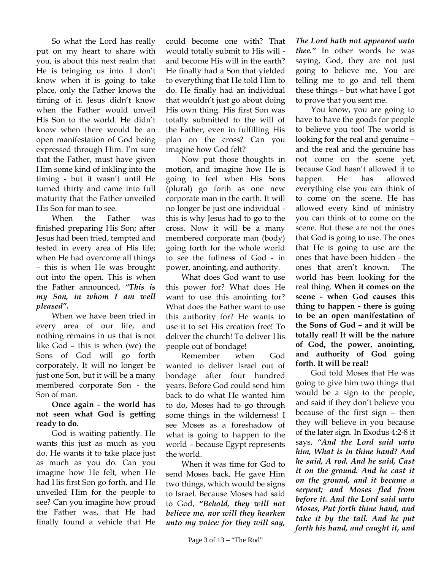So what the Lord has really put on my heart to share with you, is about this next realm that He is bringing us into. I don't know when it is going to take place, only the Father knows the timing of it. Jesus didn't know when the Father would unveil His Son to the world. He didn't know when there would be an open manifestation of God being expressed through Him. I'm sure that the Father, must have given Him some kind of inkling into the timing - but it wasn't until He turned thirty and came into full maturity that the Father unveiled His Son for man to see.

When the Father was finished preparing His Son; after Jesus had been tried, tempted and tested in every area of His life; when He had overcome all things – this is when He was brought out into the open. This is when the Father announced, *"This is my Son, in whom I am well pleased".*

When we have been tried in every area of our life, and nothing remains in us that is not like God – this is when (we) the Sons of God will go forth corporately. It will no longer be just one Son, but it will be a many membered corporate Son - the Son of man.

## **Once again - the world has not seen what God is getting ready to do.**

God is waiting patiently. He wants this just as much as you do. He wants it to take place just as much as you do. Can you imagine how He felt, when He had His first Son go forth, and He unveiled Him for the people to see? Can you imagine how proud the Father was, that He had finally found a vehicle that He

could become one with? That would totally submit to His will and become His will in the earth? He finally had a Son that yielded to everything that He told Him to do. He finally had an individual that wouldn't just go about doing His own thing. His first Son was totally submitted to the will of the Father, even in fulfilling His plan on the cross? Can you imagine how God felt?

Now put those thoughts in motion, and imagine how He is going to feel when His Sons (plural) go forth as one new corporate man in the earth. It will no longer be just one individual this is why Jesus had to go to the cross. Now it will be a many membered corporate man (body) going forth for the whole world to see the fullness of God - in power, anointing, and authority.

What does God want to use this power for? What does He want to use this anointing for? What does the Father want to use this authority for? He wants to use it to set His creation free! To deliver the church! To deliver His people out of bondage!

Remember when God wanted to deliver Israel out of bondage after four hundred years. Before God could send him back to do what He wanted him to do, Moses had to go through some things in the wilderness! I see Moses as a foreshadow of what is going to happen to the world – because Egypt represents the world.

When it was time for God to send Moses back, He gave Him two things, which would be signs to Israel. Because Moses had said to God, *"Behold, they will not believe me, nor will they hearken unto my voice: for they will say,* 

*The Lord hath not appeared unto thee."* In other words he was saying, God, they are not just going to believe me. You are telling me to go and tell them these things – but what have I got to prove that you sent me.

You know, you are going to have to have the goods for people to believe you too! The world is looking for the real and genuine – and the real and the genuine has not come on the scene yet, because God hasn't allowed it to happen. He has allowed everything else you can think of to come on the scene. He has allowed every kind of ministry you can think of to come on the scene. But these are not the ones that God is going to use. The ones that He is going to use are the ones that have been hidden - the ones that aren't known. The world has been looking for the real thing. **When it comes on the scene - when God causes this thing to happen - there is going to be an open manifestation of the Sons of God – and it will be totally real! It will be the nature of God, the power, anointing, and authority of God going forth. It will be real!**

God told Moses that He was going to give him two things that would be a sign to the people, and said if they don't believe you because of the first sign – then they will believe in you because of the later sign. In Exodus 4:2-8 it says, *"And the Lord said unto him, What is in thine hand? And he said, A rod. And he said, Cast it on the ground. And he cast it on the ground, and it became a serpent; and Moses fled from before it. And the Lord said unto Moses, Put forth thine hand, and take it by the tail. And he put forth his hand, and caught it, and*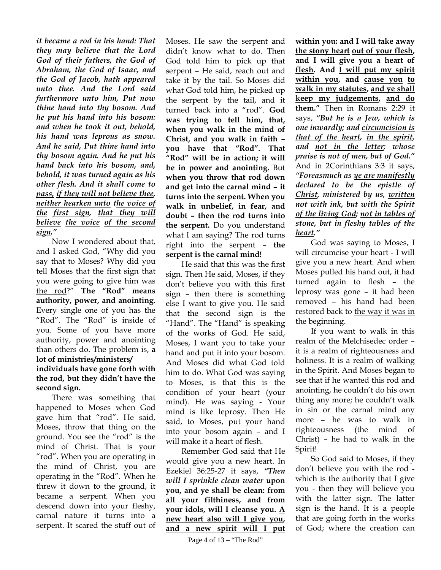*it became a rod in his hand: That they may believe that the Lord God of their fathers, the God of Abraham, the God of Isaac, and the God of Jacob, hath appeared unto thee. And the Lord said furthermore unto him, Put now thine hand into thy bosom. And he put his hand into his bosom: and when he took it out, behold, his hand was leprous as snow. And he said, Put thine hand into thy bosom again. And he put his hand back into his bosom, and, behold, it was turned again as his other flesh. And it shall come to pass, if they will not believe thee, neither hearken unto the voice of the first sign, that they will believe the voice of the second sign."*

Now I wondered about that, and I asked God, "Why did you say that to Moses? Why did you tell Moses that the first sign that you were going to give him was the rod?" **The "Rod" means authority, power, and anointing.** Every single one of you has the "Rod". The "Rod" is inside of you. Some of you have more authority, power and anointing than others do. The problem is, **a lot of ministries/ministers/ individuals have gone forth with the rod, but they didn't have the second sign.** 

There was something that happened to Moses when God gave him that "rod". He said, Moses, throw that thing on the ground. You see the "rod" is the mind of Christ. That is your "rod". When you are operating in the mind of Christ, you are operating in the "Rod". When he threw it down to the ground, it became a serpent. When you descend down into your fleshy, carnal nature it turns into a serpent. It scared the stuff out of

Moses. He saw the serpent and didn't know what to do. Then God told him to pick up that serpent – He said, reach out and take it by the tail. So Moses did what God told him, he picked up the serpent by the tail, and it turned back into a "rod". **God was trying to tell him, that, when you walk in the mind of Christ, and you walk in faith – you have that "Rod". That "Rod" will be in action; it will be in power and anointing.** But **when you throw that rod down and get into the carnal mind – it turns into the serpent. When you walk in unbelief, in fear, and doubt – then the rod turns into the serpent.** Do you understand what I am saying? The rod turns right into the serpent – **the serpent is the carnal mind!** 

 He said that this was the first sign. Then He said, Moses, if they don't believe you with this first sign – then there is something else I want to give you. He said that the second sign is the "Hand". The "Hand" is speaking of the works of God. He said, Moses, I want you to take your hand and put it into your bosom. And Moses did what God told him to do. What God was saying to Moses, is that this is the condition of your heart (your mind). He was saying - Your mind is like leprosy. Then He said, to Moses, put your hand into your bosom again – and I will make it a heart of flesh.

Remember God said that He would give you a new heart. In Ezekiel 36:25-27 it says, *"Then will I sprinkle clean water* **upon you, and ye shall be clean: from all your filthiness, and from your idols, will I cleanse you. A new heart also will I give you, and a new spirit will I put**  **within you: and I will take away the stony heart out of your flesh, and I will give you a heart of flesh. And I will put my spirit within you, and cause you to walk in my statutes, and ye shall keep my judgements, and do them."** Then in Romans 2:29 it says, *"But he is a Jew, which is one inwardly; and circumcision is that of the heart, in the spirit, and not in the letter; whose praise is not of men, but of God."* And in 2Corinthians 3:3 it says, *"Foreasmuch as ye are manifestly declared to be the epistle of Christ, ministered by us, written not with ink, but with the Spirit of the living God; not in tables of stone, but in fleshy tables of the heart."*

God was saying to Moses, I will circumcise your heart - I will give you a new heart. And when Moses pulled his hand out, it had turned again to flesh – the leprosy was gone – it had been removed – his hand had been restored back to the way it was in the beginning.

If you want to walk in this realm of the Melchisedec order – it is a realm of righteousness and holiness. It is a realm of walking in the Spirit. And Moses began to see that if he wanted this rod and anointing, he couldn't do his own thing any more; he couldn't walk in sin or the carnal mind any more – he was to walk in righteousness (the mind of Christ) – he had to walk in the Spirit!

So God said to Moses, if they don't believe you with the rod which is the authority that I give you - then they will believe you with the latter sign. The latter sign is the hand. It is a people that are going forth in the works of God; where the creation can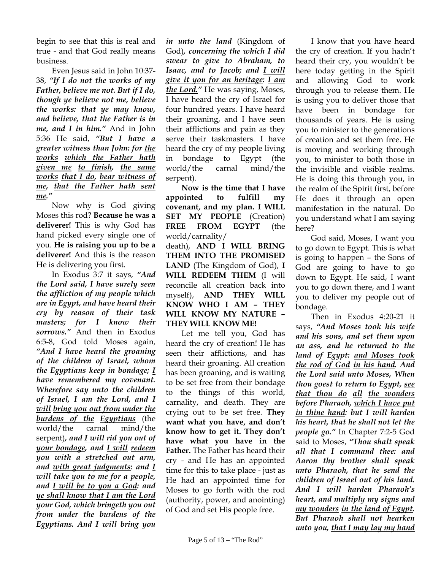begin to see that this is real and true - and that God really means business.

Even Jesus said in John 10:37- 38, *"If I do not the works of my Father, believe me not. But if I do, though ye believe not me, believe the works: that ye may know, and believe, that the Father is in me, and I in him."* And in John 5:36 He said, *"But I have a greater witness than John: for the works which the Father hath given me to finish, the same works that I do, bear witness of me, that the Father hath sent me."*

Now why is God giving Moses this rod? **Because he was a deliverer!** This is why God has hand picked every single one of you. **He is raising you up to be a deliverer!** And this is the reason He is delivering you first.

In Exodus 3:7 it says, *"And the Lord said, I have surely seen the affliction of my people which are in Egypt, and have heard their cry by reason of their task masters; for I know their sorrows."* And then in Exodus 6:5-8, God told Moses again, *"And I have heard the groaning of the children of Israel, whom the Egyptians keep in bondage; I have remembered my covenant. Wherefore say unto the children of Israel, I am the Lord, and I will bring you out from under the burdens of the Egyptians* (the world/the carnal mind/the serpent)*, and I will rid you out of your bondage, and I will redeem you with a stretched out arm, and with great judgments: and I will take you to me for a people, and I will be to you a God: and ye shall know that I am the Lord your God, which bringeth you out from under the burdens of the Egyptians. And I will bring you* 

*in unto the land* (Kingdom of God)*, concerning the which I did swear to give to Abraham, to Isaac, and to Jacob; and I will give it you for an heritage: I am the Lord."* He was saying, Moses, I have heard the cry of Israel for four hundred years. I have heard their groaning, and I have seen their afflictions and pain as they serve their taskmasters. I have heard the cry of my people living in bondage to Egypt (the world/the carnal mind/the serpent).

**Now is the time that I have appointed to fulfill my covenant, and my plan. I WILL SET MY PEOPLE** (Creation) **FREE FROM EGYPT** (the world/carnality/

death), **AND I WILL BRING THEM INTO THE PROMISED LAND** (The Kingdom of God), **I WILL REDEEM THEM** (I will reconcile all creation back into myself), **AND THEY WILL KNOW WHO I AM – THEY WILL KNOW MY NATURE – THEY WILL KNOW ME!**

Let me tell you, God has heard the cry of creation! He has seen their afflictions, and has heard their groaning. All creation has been groaning, and is waiting to be set free from their bondage to the things of this world, carnality, and death. They are crying out to be set free. **They want what you have, and don't know how to get it. They don't have what you have in the Father.** The Father has heard their cry - and He has an appointed time for this to take place - just as He had an appointed time for Moses to go forth with the rod (authority, power, and anointing) of God and set His people free.

I know that you have heard the cry of creation. If you hadn't heard their cry, you wouldn't be here today getting in the Spirit and allowing God to work through you to release them. He is using you to deliver those that have been in bondage for thousands of years. He is using you to minister to the generations of creation and set them free. He is moving and working through you, to minister to both those in the invisible and visible realms. He is doing this through you, in the realm of the Spirit first, before He does it through an open manifestation in the natural. Do you understand what I am saying here?

God said, Moses, I want you to go down to Egypt. This is what is going to happen – the Sons of God are going to have to go down to Egypt. He said, I want you to go down there, and I want you to deliver my people out of bondage.

Then in Exodus 4:20-21 it says, *"And Moses took his wife and his sons, and set them upon an ass, and he returned to the land of Egypt: and Moses took the rod of God in his hand. And the Lord said unto Moses, When thou goest to return to Egypt, see that thou do all the wonders before Pharaoh, which I have put in thine hand: but I will harden his heart, that he shall not let the people go."* In Chapter 7:2-5 God said to Moses, *"Thou shalt speak all that I command thee: and Aaron thy brother shall speak unto Pharaoh, that he send the children of Israel out of his land. And I will harden Pharaoh's heart, and multiply my signs and my wonders in the land of Egypt. But Pharaoh shall not hearken unto you, that I may lay my hand*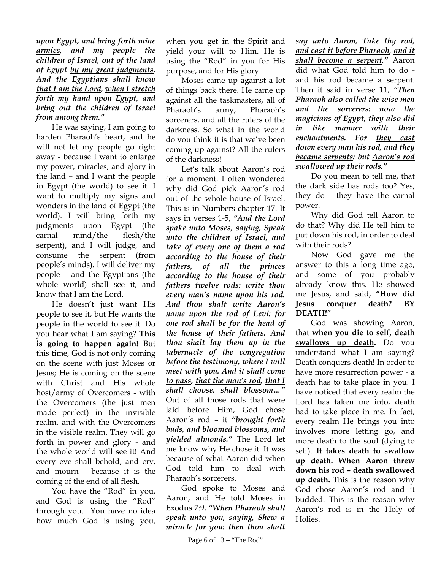*upon Egypt, and bring forth mine armies, and my people the children of Israel, out of the land of Egypt by my great judgments. And the Egyptians shall know that I am the Lord, when I stretch forth my hand upon Egypt, and bring out the children of Israel from among them."*

He was saying, I am going to harden Pharaoh's heart, and he will not let my people go right away - because I want to enlarge my power, miracles, and glory in the land – and I want the people in Egypt (the world) to see it. I want to multiply my signs and wonders in the land of Egypt (the world). I will bring forth my judgments upon Egypt (the carnal mind/the flesh/the serpent), and I will judge, and consume the serpent (from people's minds). I will deliver my people – and the Egyptians (the whole world) shall see it, and know that I am the Lord.

He doesn't just want His people to see it, but He wants the people in the world to see it. Do you hear what I am saying? **This is going to happen again!** But this time, God is not only coming on the scene with just Moses or Jesus; He is coming on the scene with Christ and His whole host/army of Overcomers - with the Overcomers (the just men made perfect) in the invisible realm, and with the Overcomers in the visible realm. They will go forth in power and glory - and the whole world will see it! And every eye shall behold, and cry, and mourn - because it is the coming of the end of all flesh.

You have the "Rod" in you, and God is using the "Rod" through you. You have no idea how much God is using you,

when you get in the Spirit and yield your will to Him. He is using the "Rod" in you for His purpose, and for His glory.

Moses came up against a lot of things back there. He came up against all the taskmasters, all of Pharaoh's army, Pharaoh's sorcerers, and all the rulers of the darkness. So what in the world do you think it is that we've been coming up against? All the rulers of the darkness!

Let's talk about Aaron's rod for a moment. I often wondered why did God pick Aaron's rod out of the whole house of Israel. This is in Numbers chapter 17. It says in verses 1-5, *"And the Lord spake unto Moses, saying, Speak unto the children of Israel, and take of every one of them a rod according to the house of their fathers, of all the princes according to the house of their fathers twelve rods: write thou every man's name upon his rod. And thou shalt write Aaron's name upon the rod of Levi: for one rod shall be for the head of the house of their fathers. And thou shalt lay them up in the tabernacle of the congregation before the testimony, where I will meet with you. And it shall come to pass, that the man's rod, that I shall choose, shall blossom…"* Out of all those rods that were laid before Him, God chose Aaron's rod – it *"brought forth buds, and bloomed blossoms, and yielded almonds."* The Lord let me know why He chose it. It was because of what Aaron did when God told him to deal with Pharaoh's sorcerers.

God spoke to Moses and Aaron, and He told Moses in Exodus 7:9, *"When Pharaoh shall speak unto you, saying, Shew a miracle for you: then thou shalt*

*say unto Aaron, Take thy rod, and cast it before Pharaoh, and it shall become a serpent."* Aaron did what God told him to do and his rod became a serpent. Then it said in verse 11, *"Then Pharaoh also called the wise men and the sorcerers: now the magicians of Egypt, they also did in like manner with their enchantments. For they cast down every man his rod, and they became serpents: but Aaron's rod swallowed up their rods."* 

Do you mean to tell me, that the dark side has rods too? Yes, they do - they have the carnal power.

Why did God tell Aaron to do that? Why did He tell him to put down his rod, in order to deal with their rods?

Now God gave me the answer to this a long time ago, and some of you probably already know this. He showed me Jesus, and said, **"How did Jesus conquer death? BY DEATH!"** 

God was showing Aaron, that **when you die to self, death swallows up death.** Do you understand what I am saying? Death conquers death! In order to have more resurrection power - a death has to take place in you. I have noticed that every realm the Lord has taken me into, death had to take place in me. In fact, every realm He brings you into involves more letting go, and more death to the soul (dying to self). **It takes death to swallow up death. When Aaron threw down his rod – death swallowed up death.** This is the reason why God chose Aaron's rod and it budded. This is the reason why Aaron's rod is in the Holy of Holies.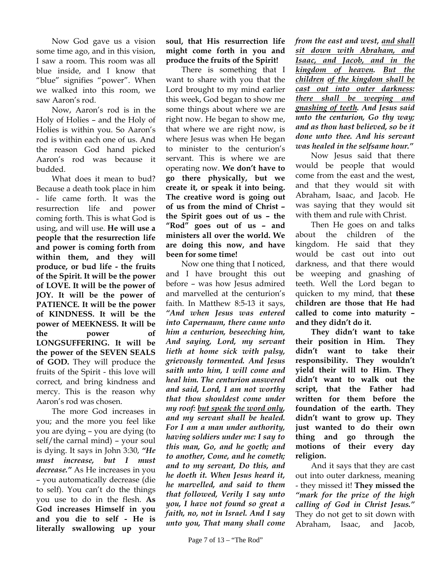Now God gave us a vision some time ago, and in this vision, I saw a room. This room was all blue inside, and I know that "blue" signifies "power". When we walked into this room, we saw Aaron's rod.

Now, Aaron's rod is in the Holy of Holies – and the Holy of Holies is within you. So Aaron's rod is within each one of us. And the reason God hand picked Aaron's rod was because it budded.

What does it mean to bud? Because a death took place in him - life came forth. It was the resurrection life and power coming forth. This is what God is using, and will use. **He will use a people that the resurrection life and power is coming forth from within them, and they will produce, or bud life - the fruits of the Spirit. It will be the power of LOVE. It will be the power of JOY. It will be the power of PATIENCE. It will be the power of KINDNESS. It will be the power of MEEKNESS. It will be the power of LONGSUFFERING. It will be the power of the SEVEN SEALS of GOD.** They will produce the fruits of the Spirit - this love will correct, and bring kindness and mercy. This is the reason why Aaron's rod was chosen.

The more God increases in you; and the more you feel like you are dying – you are dying (to self/the carnal mind) – your soul is dying. It says in John 3:30, *"He must increase, but I must decrease."* As He increases in you – you automatically decrease (die to self). You can't do the things you use to do in the flesh. **As God increases Himself in you and you die to self - He is literally swallowing up your** 

## **soul, that His resurrection life might come forth in you and produce the fruits of the Spirit!**

There is something that I want to share with you that the Lord brought to my mind earlier this week, God began to show me some things about where we are right now. He began to show me, that where we are right now, is where Jesus was when He began to minister to the centurion's servant. This is where we are operating now. **We don't have to go there physically, but we create it, or speak it into being. The creative word is going out of us from the mind of Christ – the Spirit goes out of us – the "Rod" goes out of us – and ministers all over the world. We are doing this now, and have been for some time!**

Now one thing that I noticed, and I have brought this out before – was how Jesus admired and marvelled at the centurion's faith. In Matthew 8:5-13 it says, *"And when Jesus was entered into Capernaum, there came unto him a centurion, beseeching him, And saying, Lord, my servant lieth at home sick with palsy, grievously tormented. And Jesus saith unto him, I will come and heal him. The centurion answered and said, Lord, I am not worthy that thou shouldest come under my roof: but speak the word only, and my servant shall be healed. For I am a man under authority, having soldiers under me: I say to this man, Go, and he goeth; and to another, Come, and he cometh; and to my servant, Do this, and he doeth it. When Jesus heard it, he marvelled, and said to them that followed, Verily I say unto you, I have not found so great a faith, no, not in Israel. And I say unto you, That many shall come* 

*from the east and west, and shall sit down with Abraham, and Isaac, and Jacob, and in the kingdom of heaven. But the children of the kingdom shall be cast out into outer darkness: there shall be weeping and gnashing of teeth. And Jesus said unto the centurion, Go thy way; and as thou hast believed, so be it done unto thee. And his servant was healed in the selfsame hour."*

Now Jesus said that there would be people that would come from the east and the west, and that they would sit with Abraham, Isaac, and Jacob. He was saying that they would sit with them and rule with Christ.

Then He goes on and talks about the children of the kingdom. He said that they would be cast out into out darkness, and that there would be weeping and gnashing of teeth. Well the Lord began to quicken to my mind, that **these children are those that He had called to come into maturity – and they didn't do it.** 

**They didn't want to take their position in Him. They didn't want to take their responsibility. They wouldn't yield their will to Him. They didn't want to walk out the script, that the Father had written for them before the foundation of the earth. They didn't want to grow up. They just wanted to do their own thing and go through the motions of their every day religion.** 

And it says that they are cast out into outer darkness, meaning - they missed it! **They missed the** *"mark for the prize of the high calling of God in Christ Jesus."* They do not get to sit down with Abraham, Isaac, and Jacob,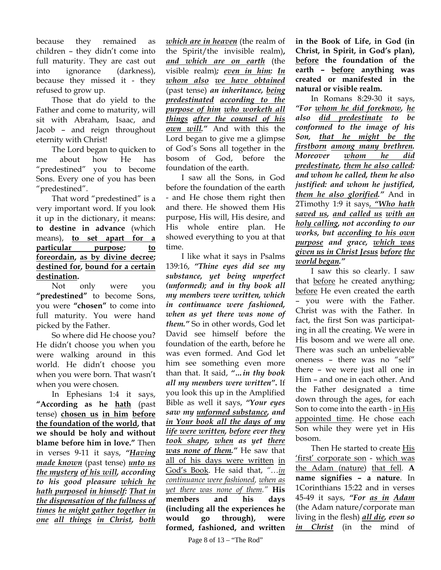because they remained as children – they didn't come into full maturity. They are cast out into ignorance (darkness), because they missed it - they refused to grow up.

Those that do yield to the Father and come to maturity, will sit with Abraham, Isaac, and Jacob – and reign throughout eternity with Christ!

The Lord began to quicken to me about how He has "predestined" you to become Sons. Every one of you has been "predestined".

That word "predestined" is a very important word. If you look it up in the dictionary, it means: **to destine in advance** (which means), **to set apart for a particular purpose; to foreordain, as by divine decree; destined for, bound for a certain destination.** 

Not only were you **"predestined"** to become Sons, you were **"chosen"** to come into full maturity. You were hand picked by the Father.

So where did He choose you? He didn't choose you when you were walking around in this world. He didn't choose you when you were born. That wasn't when you were chosen.

In Ephesians 1:4 it says, **"According as he hath** (past tense) **chosen us in him before the foundation of the world, that we should be holy and without blame before him in love."** Then in verses 9-11 it says, *"Having made known* (past tense) *unto us the mystery of his will, according to his good pleasure which he hath purposed in himself: That in the dispensation of the fullness of times he might gather together in one all things in Christ, both* 

*which are in heaven* (the realm of the Spirit/the invisible realm)**,**  *and which are on earth* (the visible realm)*; even in him: In whom also we have obtained* (past tense) *an inheritance, being predestinated according to the purpose of him who worketh all things after the counsel of his own will."* And with this the Lord began to give me a glimpse of God's Sons all together in the bosom of God, before the foundation of the earth.

I saw all the Sons, in God before the foundation of the earth - and He chose them right then and there. He showed them His purpose, His will, His desire, and His whole entire plan. He showed everything to you at that time.

I like what it says in Psalms 139:16, *"Thine eyes did see my substance, yet being unperfect (unformed); and in thy book all my members were written, which in continuance were fashioned, when as yet there was none of them."* So in other words, God let David see himself before the foundation of the earth, before he was even formed. And God let him see something even more than that. It said, *"…in thy book all my members were written"***.** If you look this up in the Amplified Bible as well it says, *"Your eyes saw my unformed substance, and in Your book all the days of my life were written, before ever they took shape, when as yet there was none of them."* He saw that all of his days were written in God's Book. He said that, *"…in continuance were fashioned, when as yet there was none of them."* **His members and his days (including all the experiences he would go through), were formed, fashioned, and written** 

**in the Book of Life, in God (in Christ, in Spirit, in God's plan), before the foundation of the earth – before anything was created or manifested in the natural or visible realm.** 

In Romans 8:29-30 it says, *"For whom he did foreknow, he also did predestinate to be conformed to the image of his Son, that he might be the firstborn among many brethren. Moreover whom he did predestinate, them he also called: and whom he called, them he also justified: and whom he justified, them he also glorified."* And in 2Timothy 1:9 it says, *"Who hath saved us, and called us with an holy calling, not according to our works, but according to his own purpose and grace, which was given us in Christ Jesus before the world began."*

I saw this so clearly. I saw that before he created anything; before He even created the earth – you were with the Father. Christ was with the Father. In fact, the first Son was participating in all the creating. We were in His bosom and we were all one. There was such an unbelievable oneness – there was no "self" there – we were just all one in Him – and one in each other. And the Father designated a time down through the ages, for each Son to come into the earth - in His appointed time. He chose each Son while they were yet in His bosom.

Then He started to create His 'first' corporate son - which was the Adam (nature) that fell. **A name signifies – a nature**. In 1Corinthians 15:22 and in verses 45-49 it says, *"For as in Adam* (the Adam nature/corporate man living in the flesh) *all die, even so in Christ* (in the mind of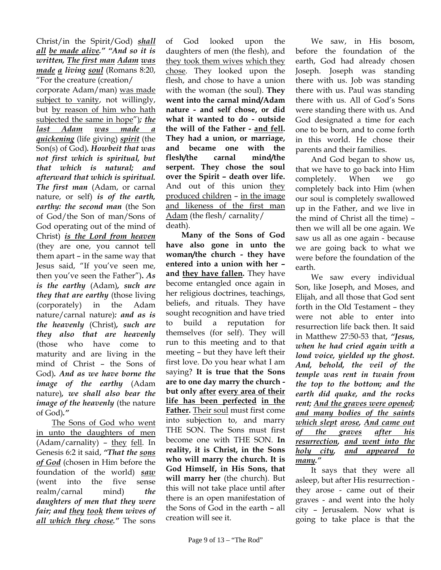Christ/in the Spirit/God) *shall all be made alive." "And so it is written, The first man Adam was made a living soul* (Romans 8:20, "For the creature (creation/ corporate Adam/man) was made subject to vanity, not willingly, but by reason of him who hath subjected the same in hope")*; the last Adam was made a quickening* (life giving) *spirit* (the Son(s) of God)*. Howbeit that was not first which is spiritual, but that which is natural; and afterward that which is spiritual. The first man* (Adam, or carnal nature, or self) *is of the earth, earthy: the second man* (the Son of God/the Son of man/Sons of God operating out of the mind of Christ) *is the Lord from heaven* (they are one, you cannot tell them apart – in the same way that Jesus said, "If you've seen me, then you've seen the Father")**.** *As is the earthy* (Adam)*, such are they that are earthy* (those living (corporately) in the Adam nature/carnal nature)*: and as is the heavenly* (Christ)*, such are they also that are heavenly* (those who have come to maturity and are living in the mind of Christ – the Sons of God)*. And as we have borne the image of the earthy* (Adam nature)*, we shall also bear the image of the heavenly* (the nature of God)*."*

The Sons of God who went in unto the daughters of men (Adam/carnality) - they fell. In Genesis 6:2 it said, *"That the sons of God* (chosen in Him before the foundation of the world) *saw* (went into the five sense realm/carnal mind) *the daughters of men that they were fair; and they took them wives of all which they chose."* The sons

of God looked upon the daughters of men (the flesh), and they took them wives which they chose. They looked upon the flesh, and chose to have a union with the woman (the soul). **They went into the carnal mind/Adam nature - and self chose, or did what it wanted to do - outside the will of the Father - and fell. They had a union, or marriage, and became one with the flesh/the carnal mind/the serpent. They chose the soul over the Spirit – death over life.**  And out of this union they produced children – in the image and likeness of the first man Adam (the flesh/ carnality/ death).

**Many of the Sons of God have also gone in unto the woman/the church - they have entered into a union with her – and they have fallen.** They have become entangled once again in her religious doctrines, teachings, beliefs, and rituals. They have sought recognition and have tried to build a reputation for themselves (for self). They will run to this meeting and to that meeting – but they have left their first love. Do you hear what I am saying? **It is true that the Sons are to one day marry the church but only after every area of their life has been perfected in the Father.** Their soul must first come into subjection to, and marry THE SON. The Sons must first become one with THE SON. **In reality, it is Christ, in the Sons who will marry the church. It is God Himself, in His Sons, that will marry her** (the church). But this will not take place until after there is an open manifestation of the Sons of God in the earth – all creation will see it.

We saw, in His bosom, before the foundation of the earth, God had already chosen Joseph. Joseph was standing there with us. Job was standing there with us. Paul was standing there with us. All of God's Sons were standing there with us. And God designated a time for each one to be born, and to come forth in this world. He chose their parents and their families.

And God began to show us, that we have to go back into Him completely. When we go completely back into Him (when our soul is completely swallowed up in the Father, and we live in the mind of Christ all the time) – then we will all be one again. We saw us all as one again - because we are going back to what we were before the foundation of the earth.

We saw every individual Son, like Joseph, and Moses, and Elijah, and all those that God sent forth in the Old Testament – they were not able to enter into resurrection life back then. It said in Matthew 27:50-53 that, *"Jesus, when he had cried again with a loud voice, yielded up the ghost. And, behold, the veil of the temple was rent in twain from the top to the bottom; and the earth did quake, and the rocks rent; And the graves were opened; and many bodies of the saints which slept arose, And came out of the graves after his resurrection, and went into the holy city, and appeared to many."*

It says that they were all asleep, but after His resurrection they arose - came out of their graves - and went into the holy city – Jerusalem. Now what is going to take place is that the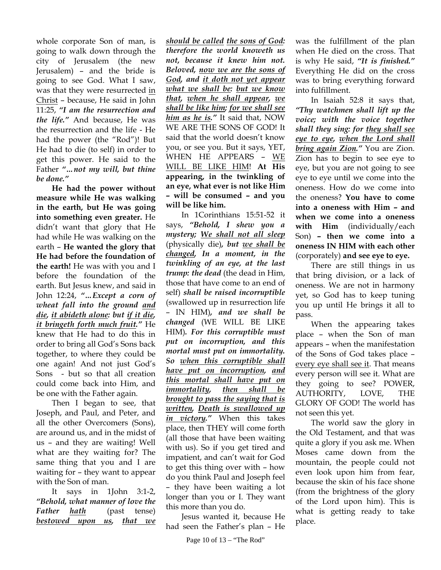whole corporate Son of man, is going to walk down through the city of Jerusalem (the new Jerusalem) – and the bride is going to see God. What I saw, was that they were resurrected in Christ – because, He said in John 11:25, *"I am the resurrection and the life."* And because, He was the resurrection and the life - He had the power (the "Rod")! But He had to die (to self) in order to get this power. He said to the Father *"…not my will, but thine be done."*

**He had the power without measure while He was walking in the earth, but He was going into something even greater.** He didn't want that glory that He had while He was walking on the earth – **He wanted the glory that He had before the foundation of the earth!** He was with you and I before the foundation of the earth. But Jesus knew, and said in John 12:24, *"…Except a corn of wheat fall into the ground and die, it abideth alone: but if it die, it bringeth forth much fruit."* He knew that He had to do this in order to bring all God's Sons back together, to where they could be one again! And not just God's Sons - but so that all creation could come back into Him, and be one with the Father again.

Then I began to see, that Joseph, and Paul, and Peter, and all the other Overcomers (Sons), are around us, and in the midst of us – and they are waiting! Well what are they waiting for? The same thing that you and I are waiting for – they want to appear with the Son of man.

It says in 1John 3:1-2, *"Behold, what manner of love the Father hath* (past tense) *bestowed upon us, that we*  *should be called the sons of God: therefore the world knoweth us not, because it knew him not. Beloved, now we are the sons of God, and it doth not yet appear what we shall be: but we know that, when he shall appear, we shall be like him; for we shall see him as he is."* It said that, NOW WE ARE THE SONS OF GOD! It said that the world doesn't know you, or see you. But it says, YET, WHEN HE APPEARS - WE WILL BE LIKE HIM! **At His appearing, in the twinkling of an eye, what ever is not like Him – will be consumed – and you will be like him.**

In 1Corinthians 15:51-52 it says, *"Behold, I shew you a mystery; We shall not all sleep* (physically die)*, but we shall be changed, In a moment, in the twinkling of an eye, at the last trump: the dead* (the dead in Him, those that have come to an end of self) *shall be raised incorruptible* (swallowed up in resurrection life – IN HIM)*, and we shall be changed* (WE WILL BE LIKE HIM)*. For this corruptible must put on incorruption, and this mortal must put on immortality. So when this corruptible shall have put on incorruption, and this mortal shall have put on immortality, then shall be brought to pass the saying that is written, Death is swallowed up in victory."* When this takes place, then THEY will come forth (all those that have been waiting with us). So if you get tired and impatient, and can't wait for God to get this thing over with – how do you think Paul and Joseph feel – they have been waiting a lot longer than you or I. They want this more than you do.

Jesus wanted it, because He had seen the Father's plan – He

was the fulfillment of the plan when He died on the cross. That is why He said, *"It is finished."* Everything He did on the cross was to bring everything forward into fulfillment.

In Isaiah 52:8 it says that, *"Thy watchmen shall lift up the voice; with the voice together shall they sing: for they shall see eye to eye, when the Lord shall bring again Zion."* You are Zion. Zion has to begin to see eye to eye, but you are not going to see eye to eye until we come into the oneness. How do we come into the oneness? **You have to come into a oneness with Him – and when we come into a oneness with Him** (individually/each Son) **– then we come into a oneness IN HIM with each other** (corporately) **and see eye to eye.** 

There are still things in us that bring division, or a lack of oneness. We are not in harmony yet, so God has to keep tuning you up until He brings it all to pass.

When the appearing takes place – when the Son of man appears – when the manifestation of the Sons of God takes place – every eye shall see it. That means every person will see it. What are they going to see? POWER, AUTHORITY, LOVE, THE GLORY OF GOD! The world has not seen this yet.

The world saw the glory in the Old Testament, and that was quite a glory if you ask me. When Moses came down from the mountain, the people could not even look upon him from fear, because the skin of his face shone (from the brightness of the glory of the Lord upon him). This is what is getting ready to take place.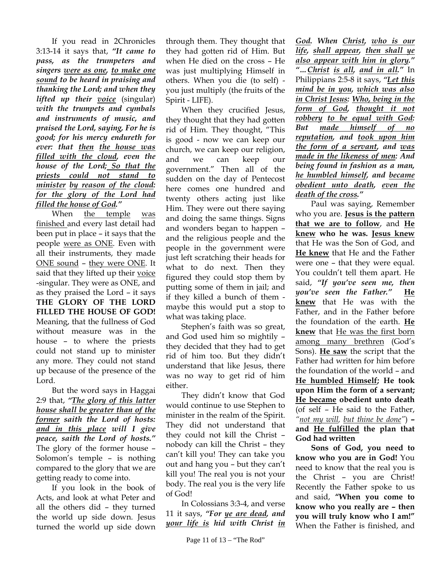If you read in 2Chronicles 3:13-14 it says that, *"It came to pass, as the trumpeters and singers were as one, to make one sound to be heard in praising and thanking the Lord; and when they lifted up their <u>voice</u>* (singular) *with the trumpets and cymbals and instruments of music, and praised the Lord, saying, For he is good; for his mercy endureth for ever: that then the house was filled with the cloud, even the house of the Lord; So that the priests could not stand to minister by reason of the cloud: for the glory of the Lord had filled the house of God."*

When the temple was finished and every last detail had been put in place – it says that the people were as ONE. Even with all their instruments, they made ONE sound – they were ONE. It said that they lifted up their voice -singular. They were as ONE, and as they praised the Lord – it says **THE GLORY OF THE LORD FILLED THE HOUSE OF GOD!** Meaning, that the fullness of God without measure was in the house – to where the priests could not stand up to minister any more. They could not stand up because of the presence of the Lord.

But the word says in Haggai 2:9 that, *"The glory of this latter house shall be greater than of the former saith the Lord of hosts: and in this place will I give peace, saith the Lord of hosts."* The glory of the former house – Solomon's temple – is nothing compared to the glory that we are getting ready to come into.

If you look in the book of Acts, and look at what Peter and all the others did – they turned the world up side down. Jesus turned the world up side down

through them. They thought that they had gotten rid of Him. But when He died on the cross – He was just multiplying Himself in others. When you die (to self) you just multiply (the fruits of the Spirit - LIFE).

When they crucified Jesus, they thought that they had gotten rid of Him. They thought, "This is good - now we can keep our church, we can keep our religion, and we can keep our government." Then all of the sudden on the day of Pentecost here comes one hundred and twenty others acting just like Him. They were out there saying and doing the same things. Signs and wonders began to happen – and the religious people and the people in the government were just left scratching their heads for what to do next. Then they figured they could stop them by putting some of them in jail; and if they killed a bunch of them maybe this would put a stop to what was taking place.

Stephen's faith was so great, and God used him so mightily – they decided that they had to get rid of him too. But they didn't understand that like Jesus, there was no way to get rid of him either.

They didn't know that God would continue to use Stephen to minister in the realm of the Spirit. They did not understand that they could not kill the Christ – nobody can kill the Christ – they can't kill you! They can take you out and hang you – but they can't kill you! The real you is not your body. The real you is the very life of God!

In Colossians 3:3-4, and verse 11 it says, *"For ye are dead, and your life is hid with Christ in* 

*God. When Christ, who is our life, shall appear, then shall ye also appear with him in glory." "…Christ is all, and in all."* In Philippians 2:5-8 it says, *"Let this mind be in you, which was also in Christ Jesus: Who, being in the form of God, thought it not robbery to be equal with God: But made himself of no reputation, and took upon him the form of a servant, and was made in the likeness of men: And being found in fashion as a man, he humbled himself, and became obedient unto death, even the death of the cross."*

Paul was saying, Remember who you are. **Jesus is the pattern that we are to follow**, and **He knew who he was. Jesus knew** that He was the Son of God, and **He knew** that He and the Father were one – that they were equal. You couldn't tell them apart. He said, *"If you've seen me, then you've seen the Father."* **He knew** that He was with the Father, and in the Father before the foundation of the earth. **He knew** that He was the first born among many brethren (God's Sons). **He saw** the script that the Father had written for him before the foundation of the world – and **He humbled Himself; He took upon Him the form of a servant; He became obedient unto death**  (of self – He said to the Father, *"not my will, but thine be done"*) **– and He fulfilled the plan that God had written**

**Sons of God, you need to know who you are in God!** You need to know that the real you is the Christ – you are Christ! Recently the Father spoke to us and said, **"When you come to know who you really are – then you will truly know who I am!"**  When the Father is finished, and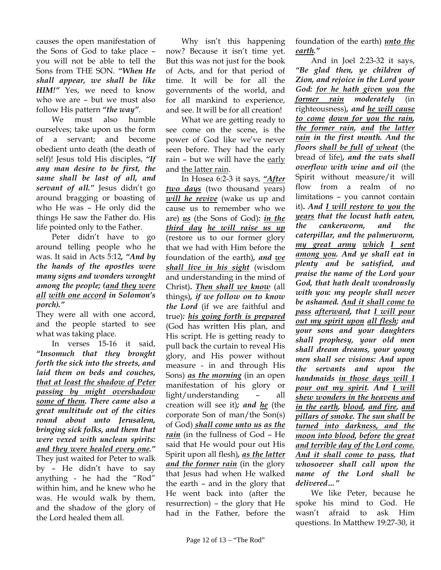causes the open manifestation of the Sons of God to take place – you will not be able to tell the Sons from THE SON. *"When He shall appear, we shall be like HIM!"* Yes, we need to know who we are – but we must also follow His pattern *"the way"*.

We must also humble ourselves; take upon us the form of a servant; and become obedient unto death (the death of self)! Jesus told His disciples, *"If any man desire to be first, the same shall be last of all, and servant of all."* Jesus didn't go around bragging or boasting of who He was – He only did the things He saw the Father do. His life pointed only to the Father.

Peter didn't have to go around telling people who he was. It said in Acts 5:12*, "And by the hands of the apostles were many signs and wonders wrought among the people; (and they were all with one accord in Solomon's porch)."*

They were all with one accord, and the people started to see what was taking place.

In verses 15-16 it said, *"Insomuch that they brought forth the sick into the streets, and laid them on beds and couches, that at least the shadow of Peter passing by might overshadow some of them. There came also a great multitude out of the cities round about unto Jerusalem, bringing sick folks, and them that were vexed with unclean spirits: and they were healed every one."* They just waited for Peter to walk by – He didn't have to say anything - he had the "Rod" within him, and he knew who he was. He would walk by them, and the shadow of the glory of the Lord healed them all.

Why isn't this happening now? Because it isn't time yet. But this was not just for the book of Acts, and for that period of time. It will be for all the governments of the world, and for all mankind to experience, and see. It will be for all creation!

What we are getting ready to see come on the scene, is the power of God like we've never seen before. They had the early rain – but we will have the early and the latter rain.

In Hosea 6:2-3 it says, *"After two days* (two thousand years) *will he revive* (wake us up and cause us to remember who we are) *us* (the Sons of God)*: in the third day he will raise us up* (restore us to our former glory that we had with Him before the foundation of the earth)*, and we shall live in his sight* (wisdom and understanding in the mind of Christ)**.** *Then shall we know* (all things)*, if we follow on to know the Lord* (if we are faithful and true)*: his going forth is prepared* (God has written His plan, and His script. He is getting ready to pull back the curtain to reveal His glory, and His power without measure - in and through His Sons) *as the morning* (in an open manifestation of his glory or light/understanding – all creation will see it)*; and he* (the corporate Son of man/the Son(s) of God) *shall come unto us as the rain* (in the fullness of God – He said that He would pour out His Spirit upon all flesh)*, as the latter and the former rain* (in the glory that Jesus had when He walked the earth – and in the glory that He went back into (after the resurrection) – the glory that He had in the Father, before the

foundation of the earth) *unto the earth."*

And in Joel 2:23-32 it says, *"Be glad then, ye children of Zion, and rejoice in the Lord your God: for he hath given you the former rain moderately* (in righteousness)*, and he will cause to come down for you the rain, the former rain, and the latter rain in the first month. And the floors shall be full of wheat* (the bread of life)*, and the vats shall overflow with wine and oil* (the Spirit without measure/it will flow from a realm of no limitations – you cannot contain it)**.** *And I will restore to you the years that the locust hath eaten, the cankerworm, and the caterpillar, and the palmerworm, my great army which I sent among you. And ye shall eat in plenty and be satisfied, and praise the name of the Lord your God, that hath dealt wondrously with you: my people shall never be ashamed. And it shall come to pass afterward, that I will pour out my spirit upon all flesh; and your sons and your daughters shall prophesy, your old men shall dream dreams, your young men shall see visions: And upon the servants and upon the handmaids in those days will I pour out my spirit. And I will shew wonders in the heavens and in the earth, blood, and fire, and pillars of smoke. The sun shall be turned into darkness, and the moon into blood, before the great and terrible day of the Lord come. And it shall come to pass, that whosoever shall call upon the name of the Lord shall be delivered…"*

We like Peter, because he spoke his mind to God. He wasn't afraid to ask Him questions. In Matthew 19:27-30, it